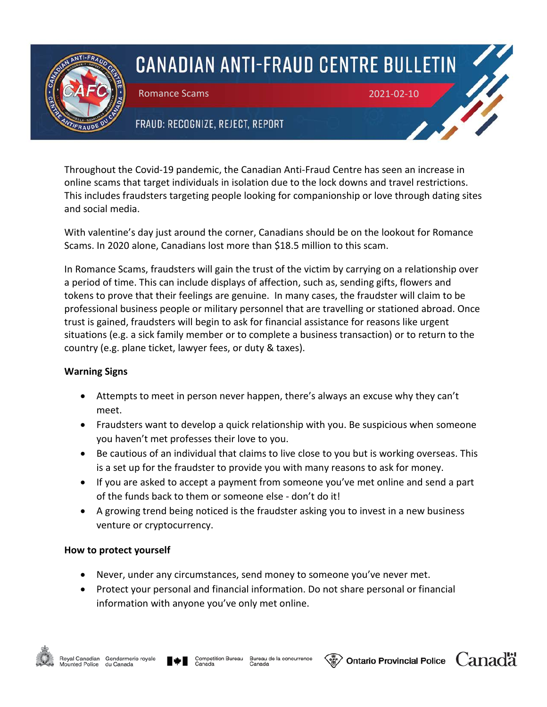

## **CANADIAN ANTI-FRAUD CENTRE BULLETIN**

Romance Scams 2021-02-10

## FRAUD: RECOGNIZE, REJECT, REPORT

Throughout the Covid-19 pandemic, the Canadian Anti-Fraud Centre has seen an increase in online scams that target individuals in isolation due to the lock downs and travel restrictions. This includes fraudsters targeting people looking for companionship or love through dating sites and social media.

With valentine's day just around the corner, Canadians should be on the lookout for Romance Scams. In 2020 alone, Canadians lost more than \$18.5 million to this scam.

In Romance Scams, fraudsters will gain the trust of the victim by carrying on a relationship over a period of time. This can include displays of affection, such as, sending gifts, flowers and tokens to prove that their feelings are genuine. In many cases, the fraudster will claim to be professional business people or military personnel that are travelling or stationed abroad. Once trust is gained, fraudsters will begin to ask for financial assistance for reasons like urgent situations (e.g. a sick family member or to complete a business transaction) or to return to the country (e.g. plane ticket, lawyer fees, or duty & taxes).

## **Warning Signs**

- Attempts to meet in person never happen, there's always an excuse why they can't meet.
- Fraudsters want to develop a quick relationship with you. Be suspicious when someone you haven't met professes their love to you.
- Be cautious of an individual that claims to live close to you but is working overseas. This is a set up for the fraudster to provide you with many reasons to ask for money.
- If you are asked to accept a payment from someone you've met online and send a part of the funds back to them or someone else - don't do it!
- A growing trend being noticed is the fraudster asking you to invest in a new business venture or cryptocurrency.

## **How to protect yourself**

- Never, under any circumstances, send money to someone you've never met.
- Protect your personal and financial information. Do not share personal or financial information with anyone you've only met online.



**Ontario Provincial Police**